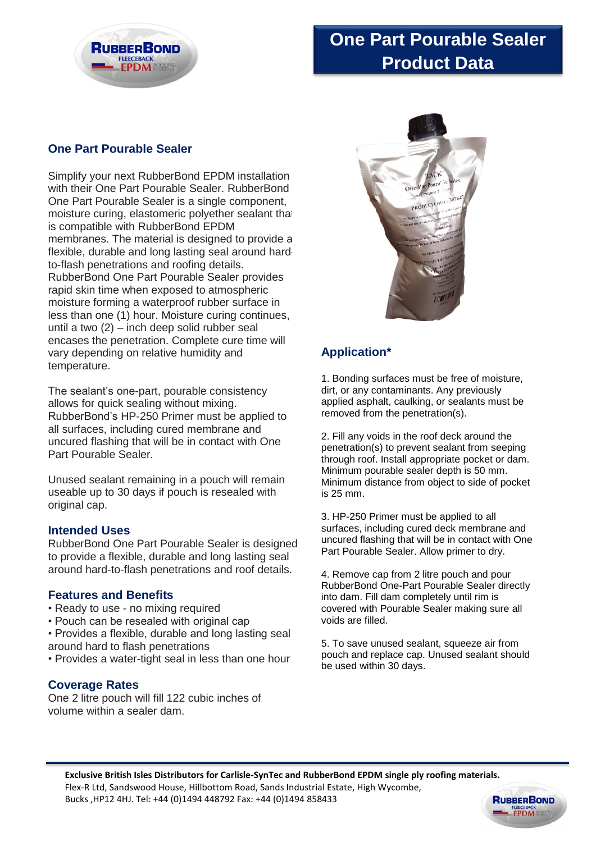

# **One Part Pourable Sealer Product Data**

### **One Part Pourable Sealer**

Simplify your next RubberBond EPDM installation with their One Part Pourable Sealer. RubberBond One Part Pourable Sealer is a single component, moisture curing, elastomeric polyether sealant that is compatible with RubberBond EPDM membranes. The material is designed to provide a flexible, durable and long lasting seal around hardto-flash penetrations and roofing details. RubberBond One Part Pourable Sealer provides rapid skin time when exposed to atmospheric moisture forming a waterproof rubber surface in less than one (1) hour. Moisture curing continues, until a two (2) – inch deep solid rubber seal encases the penetration. Complete cure time will vary depending on relative humidity and temperature.

The sealant's one-part, pourable consistency allows for quick sealing without mixing. RubberBond's HP-250 Primer must be applied to all surfaces, including cured membrane and uncured flashing that will be in contact with One Part Pourable Sealer.

Unused sealant remaining in a pouch will remain useable up to 30 days if pouch is resealed with original cap.

### **Intended Uses**

RubberBond One Part Pourable Sealer is designed to provide a flexible, durable and long lasting seal around hard-to-flash penetrations and roof details.

#### **Features and Benefits**

- Ready to use no mixing required
- Pouch can be resealed with original cap
- Provides a flexible, durable and long lasting seal around hard to flash penetrations
- Provides a water-tight seal in less than one hour

#### **Coverage Rates**

One 2 litre pouch will fill 122 cubic inches of volume within a sealer dam.



## **Application\***

1. Bonding surfaces must be free of moisture, dirt, or any contaminants. Any previously applied asphalt, caulking, or sealants must be removed from the penetration(s).

2. Fill any voids in the roof deck around the penetration(s) to prevent sealant from seeping through roof. Install appropriate pocket or dam. Minimum pourable sealer depth is 50 mm. Minimum distance from object to side of pocket is 25 mm.

3. HP-250 Primer must be applied to all surfaces, including cured deck membrane and uncured flashing that will be in contact with One Part Pourable Sealer. Allow primer to dry.

4. Remove cap from 2 litre pouch and pour RubberBond One-Part Pourable Sealer directly into dam. Fill dam completely until rim is covered with Pourable Sealer making sure all voids are filled.

5. To save unused sealant, squeeze air from pouch and replace cap. Unused sealant should be used within 30 days.